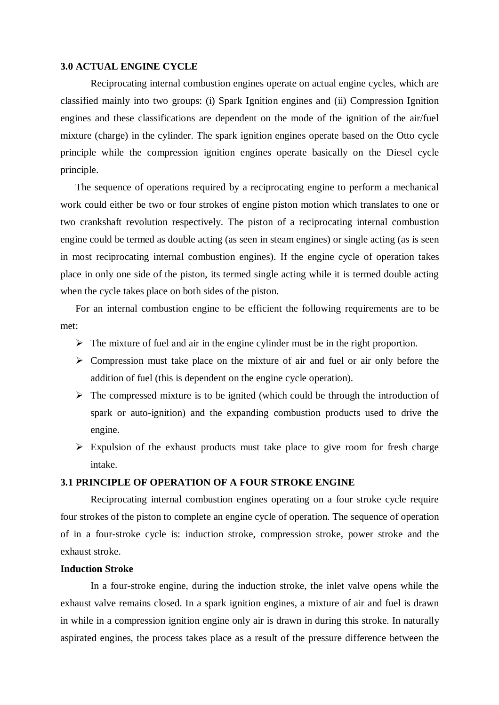#### **3.0 ACTUAL ENGINE CYCLE**

Reciprocating internal combustion engines operate on actual engine cycles, which are classified mainly into two groups: (i) Spark Ignition engines and (ii) Compression Ignition engines and these classifications are dependent on the mode of the ignition of the air/fuel mixture (charge) in the cylinder. The spark ignition engines operate based on the Otto cycle principle while the compression ignition engines operate basically on the Diesel cycle principle.

The sequence of operations required by a reciprocating engine to perform a mechanical work could either be two or four strokes of engine piston motion which translates to one or two crankshaft revolution respectively. The piston of a reciprocating internal combustion engine could be termed as double acting (as seen in steam engines) or single acting (as is seen in most reciprocating internal combustion engines). If the engine cycle of operation takes place in only one side of the piston, its termed single acting while it is termed double acting when the cycle takes place on both sides of the piston.

For an internal combustion engine to be efficient the following requirements are to be met:

- $\triangleright$  The mixture of fuel and air in the engine cylinder must be in the right proportion.
- $\triangleright$  Compression must take place on the mixture of air and fuel or air only before the addition of fuel (this is dependent on the engine cycle operation).
- $\triangleright$  The compressed mixture is to be ignited (which could be through the introduction of spark or auto-ignition) and the expanding combustion products used to drive the engine.
- $\triangleright$  Expulsion of the exhaust products must take place to give room for fresh charge intake.

# **3.1 PRINCIPLE OF OPERATION OF A FOUR STROKE ENGINE**

Reciprocating internal combustion engines operating on a four stroke cycle require four strokes of the piston to complete an engine cycle of operation. The sequence of operation of in a four-stroke cycle is: induction stroke, compression stroke, power stroke and the exhaust stroke.

### **Induction Stroke**

In a four-stroke engine, during the induction stroke, the inlet valve opens while the exhaust valve remains closed. In a spark ignition engines, a mixture of air and fuel is drawn in while in a compression ignition engine only air is drawn in during this stroke. In naturally aspirated engines, the process takes place as a result of the pressure difference between the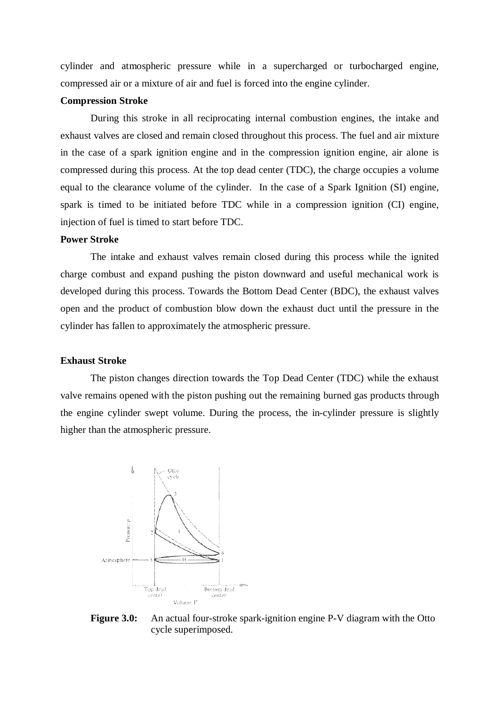cylinder and atmospheric pressure while in a supercharged or turbocharged engine, compressed air or a mixture of air and fuel is forced into the engine cylinder.

#### **Compression Stroke**

During this stroke in all reciprocating internal combustion engines, the intake and exhaust valves are closed and remain closed throughout this process. The fuel and air mixture in the case of a spark ignition engine and in the compression ignition engine, air alone is compressed during this process. At the top dead center (TDC), the charge occupies a volume equal to the clearance volume of the cylinder. In the case of a Spark Ignition (SI) engine, spark is timed to be initiated before TDC while in a compression ignition (CI) engine, injection of fuel is timed to start before TDC.

#### **Power Stroke**

The intake and exhaust valves remain closed during this process while the ignited charge combust and expand pushing the piston downward and useful mechanical work is developed during this process. Towards the Bottom Dead Center (BDC), the exhaust valves open and the product of combustion blow down the exhaust duct until the pressure in the cylinder has fallen to approximately the atmospheric pressure.

#### **Exhaust Stroke**

The piston changes direction towards the Top Dead Center (TDC) while the exhaust valve remains opened with the piston pushing out the remaining burned gas products through the engine cylinder swept volume. During the process, the in-cylinder pressure is slightly higher than the atmospheric pressure.



**Figure 3.0:** An actual four-stroke spark-ignition engine P-V diagram with the Otto cycle superimposed.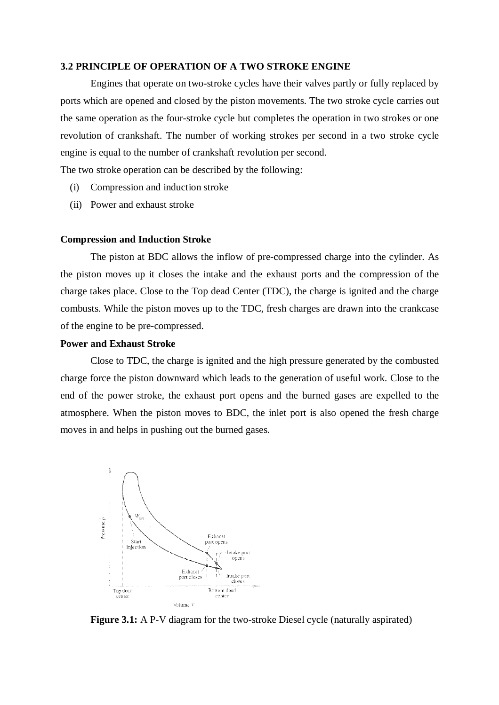## **3.2 PRINCIPLE OF OPERATION OF A TWO STROKE ENGINE**

Engines that operate on two-stroke cycles have their valves partly or fully replaced by ports which are opened and closed by the piston movements. The two stroke cycle carries out the same operation as the four-stroke cycle but completes the operation in two strokes or one revolution of crankshaft. The number of working strokes per second in a two stroke cycle engine is equal to the number of crankshaft revolution per second.

The two stroke operation can be described by the following:

- (i) Compression and induction stroke
- (ii) Power and exhaust stroke

#### **Compression and Induction Stroke**

The piston at BDC allows the inflow of pre-compressed charge into the cylinder. As the piston moves up it closes the intake and the exhaust ports and the compression of the charge takes place. Close to the Top dead Center (TDC), the charge is ignited and the charge combusts. While the piston moves up to the TDC, fresh charges are drawn into the crankcase of the engine to be pre-compressed.

## **Power and Exhaust Stroke**

Close to TDC, the charge is ignited and the high pressure generated by the combusted charge force the piston downward which leads to the generation of useful work. Close to the end of the power stroke, the exhaust port opens and the burned gases are expelled to the atmosphere. When the piston moves to BDC, the inlet port is also opened the fresh charge moves in and helps in pushing out the burned gases.



**Figure 3.1:** A P-V diagram for the two-stroke Diesel cycle (naturally aspirated)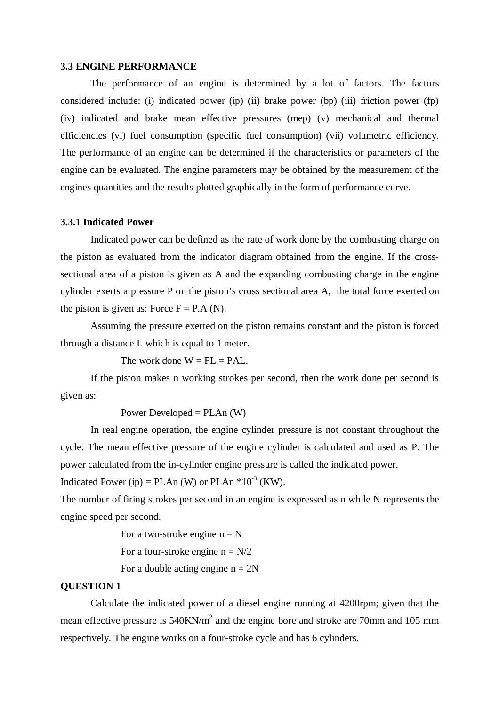#### **3.3 ENGINE PERFORMANCE**

The performance of an engine is determined by a lot of factors. The factors considered include: (i) indicated power (ip) (ii) brake power (bp) (iii) friction power (fp) (iv) indicated and brake mean effective pressures (mep) (v) mechanical and thermal efficiencies (vi) fuel consumption (specific fuel consumption) (vii) volumetric efficiency. The performance of an engine can be determined if the characteristics or parameters of the engine can be evaluated. The engine parameters may be obtained by the measurement of the engines quantities and the results plotted graphically in the form of performance curve.

#### **3.3.1 Indicated Power**

Indicated power can be defined as the rate of work done by the combusting charge on the piston as evaluated from the indicator diagram obtained from the engine. If the crosssectional area of a piston is given as A and the expanding combusting charge in the engine cylinder exerts a pressure P on the piston's cross sectional area A, the total force exerted on the piston is given as: Force  $F = P.A (N)$ .

Assuming the pressure exerted on the piston remains constant and the piston is forced through a distance L which is equal to 1 meter.

The work done  $W = FL = PAL$ .

If the piston makes n working strokes per second, then the work done per second is given as:

Power Developed =  $PLAn (W)$ 

In real engine operation, the engine cylinder pressure is not constant throughout the cycle. The mean effective pressure of the engine cylinder is calculated and used as P. The power calculated from the in-cylinder engine pressure is called the indicated power.

Indicated Power (ip) = PLAn (W) or PLAn  $*10^{-3}$  (KW).

The number of firing strokes per second in an engine is expressed as n while N represents the engine speed per second.

> For a two-stroke engine  $n = N$ For a four-stroke engine  $n = N/2$ For a double acting engine  $n = 2N$

### **QUESTION 1**

Calculate the indicated power of a diesel engine running at 4200rpm; given that the mean effective pressure is  $540$ KN/m<sup>2</sup> and the engine bore and stroke are 70mm and 105 mm respectively. The engine works on a four-stroke cycle and has 6 cylinders.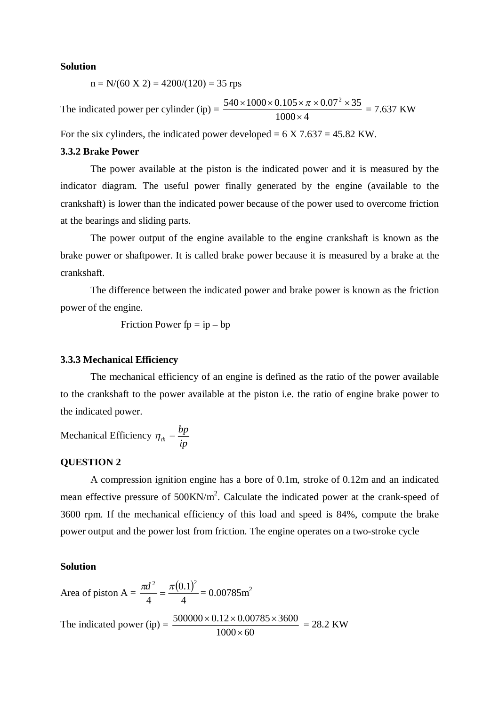#### **Solution**

 $n = N/(60 \text{ X } 2) = 4200/(120) = 35 \text{ rps}$ 

The indicated power per cylinder  $(ip) =$  $1000 \times 4$  $540 \times 1000 \times 0.105 \times \pi \times 0.07^2 \times 35$  $\times$  $\frac{\times 1000 \times 0.105 \times \pi \times 0.07^2 \times 35}{1000 \times 1000} = 7.637$  KW

For the six cylinders, the indicated power developed =  $6 \text{ X } 7.637 = 45.82 \text{ KW.}$ 

## **3.3.2 Brake Power**

The power available at the piston is the indicated power and it is measured by the indicator diagram. The useful power finally generated by the engine (available to the crankshaft) is lower than the indicated power because of the power used to overcome friction at the bearings and sliding parts.

The power output of the engine available to the engine crankshaft is known as the brake power or shaftpower. It is called brake power because it is measured by a brake at the crankshaft.

The difference between the indicated power and brake power is known as the friction power of the engine.

Friction Power  $fp = ip - bp$ 

#### **3.3.3 Mechanical Efficiency**

The mechanical efficiency of an engine is defined as the ratio of the power available to the crankshaft to the power available at the piston i.e. the ratio of engine brake power to the indicated power.

Mechanical Efficiency *ip*  $\eta_{th} = \frac{bp}{\mu}$ 

## **QUESTION 2**

A compression ignition engine has a bore of 0.1m, stroke of 0.12m and an indicated mean effective pressure of  $500 \text{KN/m}^2$ . Calculate the indicated power at the crank-speed of 3600 rpm. If the mechanical efficiency of this load and speed is 84%, compute the brake power output and the power lost from friction. The engine operates on a two-stroke cycle

## **Solution**

Area of piston A = 
$$
\frac{\pi d^2}{4} = \frac{\pi (0.1)^2}{4} = 0.00785 \text{ m}^2
$$
  
The indicated power (ip) =  $\frac{500000 \times 0.12 \times 0.00785 \times 3600}{1000 \times 60} = 28.2 \text{ KW}$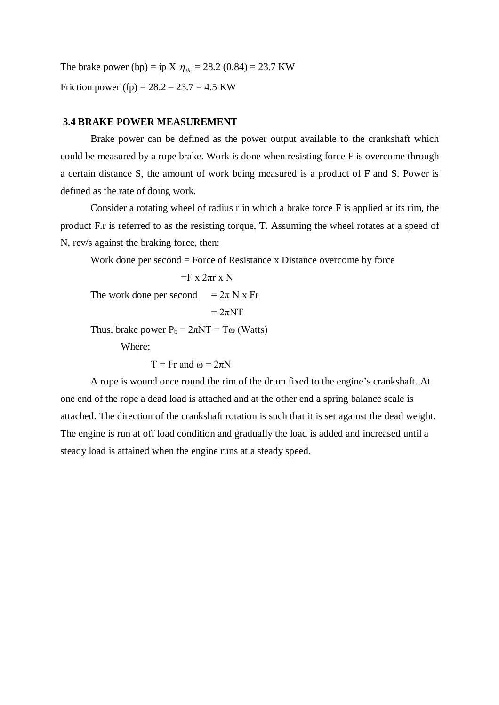The brake power (bp) = ip X  $\eta_{th}$  = 28.2 (0.84) = 23.7 KW Friction power (fp) =  $28.2 - 23.7 = 4.5$  KW

### **3.4 BRAKE POWER MEASUREMENT**

Brake power can be defined as the power output available to the crankshaft which could be measured by a rope brake. Work is done when resisting force F is overcome through a certain distance S, the amount of work being measured is a product of F and S. Power is defined as the rate of doing work.

Consider a rotating wheel of radius r in which a brake force F is applied at its rim, the product F.r is referred to as the resisting torque, T. Assuming the wheel rotates at a speed of N, rev/s against the braking force, then:

Work done per second = Force of Resistance x Distance overcome by force

```
=F x 2\pi r x N
```
The work done per second  $= 2\pi N x$  Fr

 $= 2\pi N T$ 

Thus, brake power  $P_b = 2\pi NT = T\omega$  (Watts)

Where;

 $T = Fr$  and  $\omega = 2\pi N$ 

A rope is wound once round the rim of the drum fixed to the engine's crankshaft. At one end of the rope a dead load is attached and at the other end a spring balance scale is attached. The direction of the crankshaft rotation is such that it is set against the dead weight. The engine is run at off load condition and gradually the load is added and increased until a steady load is attained when the engine runs at a steady speed.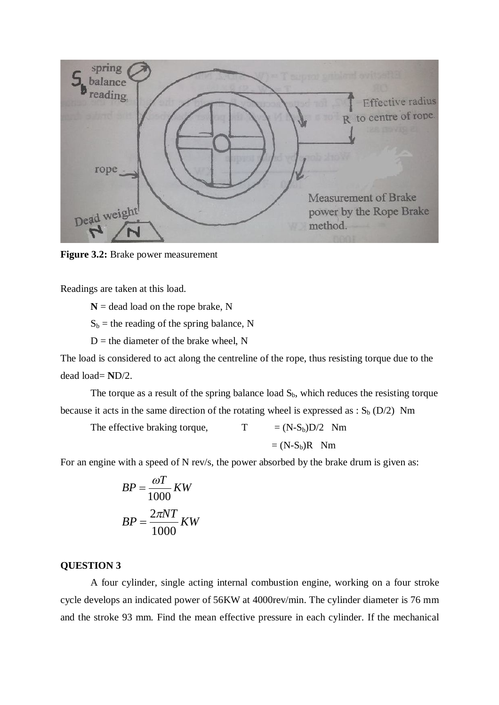

**Figure 3.2:** Brake power measurement

Readings are taken at this load.

 $N =$  dead load on the rope brake, N

 $S_b$  = the reading of the spring balance, N

 $D$  = the diameter of the brake wheel, N

The load is considered to act along the centreline of the rope, thus resisting torque due to the dead load= **N**D/2.

The torque as a result of the spring balance load  $S_b$ , which reduces the resisting torque because it acts in the same direction of the rotating wheel is expressed as :  $S_b$  (D/2) Nm

The effective braking torque,  $T = (N-S_b)D/2$  Nm  $=(N-S<sub>b</sub>)R$  Nm

For an engine with a speed of N rev/s, the power absorbed by the brake drum is given as:

$$
BP = \frac{\omega T}{1000} \, KW
$$

$$
BP = \frac{2\pi NT}{1000} \, KW
$$

## **QUESTION 3**

A four cylinder, single acting internal combustion engine, working on a four stroke cycle develops an indicated power of 56KW at 4000rev/min. The cylinder diameter is 76 mm and the stroke 93 mm. Find the mean effective pressure in each cylinder. If the mechanical